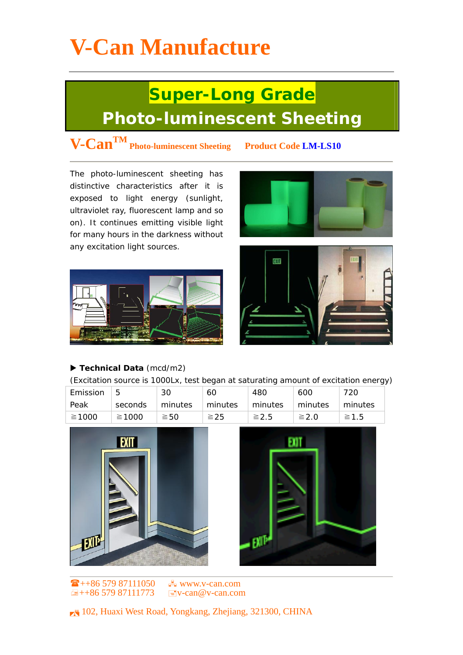# **V-Can Manufacture**

### **Super-Long Grade Photo-luminescent Sheeting**

### **V-CanTM Photo-luminescent Sheeting Product Code LM-LS10**

The photo-luminescent sheeting has distinctive characteristics after it is exposed to light energy (sunlight, ultraviolet ray, fluorescent lamp and so on). It continues emitting visible light for many hours in the darkness without any excitation light sources.







#### ▶ Technical Data (mcd/m2)

(Excitation source is 1000Lx, test began at saturating amount of excitation energy)

| Emission |             | 30        | 60        | 480        | 600        | 720        |
|----------|-------------|-----------|-----------|------------|------------|------------|
| Peak     | seconds     | minutes   | minutes   | minutes    | minutes    | minutes    |
| ≧1000    | $\geq 1000$ | $\geq$ 50 | $\geq$ 25 | $\geq 2.5$ | $\geq 2.0$ | $\geq 1.5$ |





 $\frac{1}{2}$ ++86 579 87111050  $\frac{1}{2}$  www.y-can.com  $\Box$ ++86 579 87111773  $\Box$  v-can@v-can.com

. 102, Huaxi West Road, Yongkang, Zhejiang, 321300, CHINA